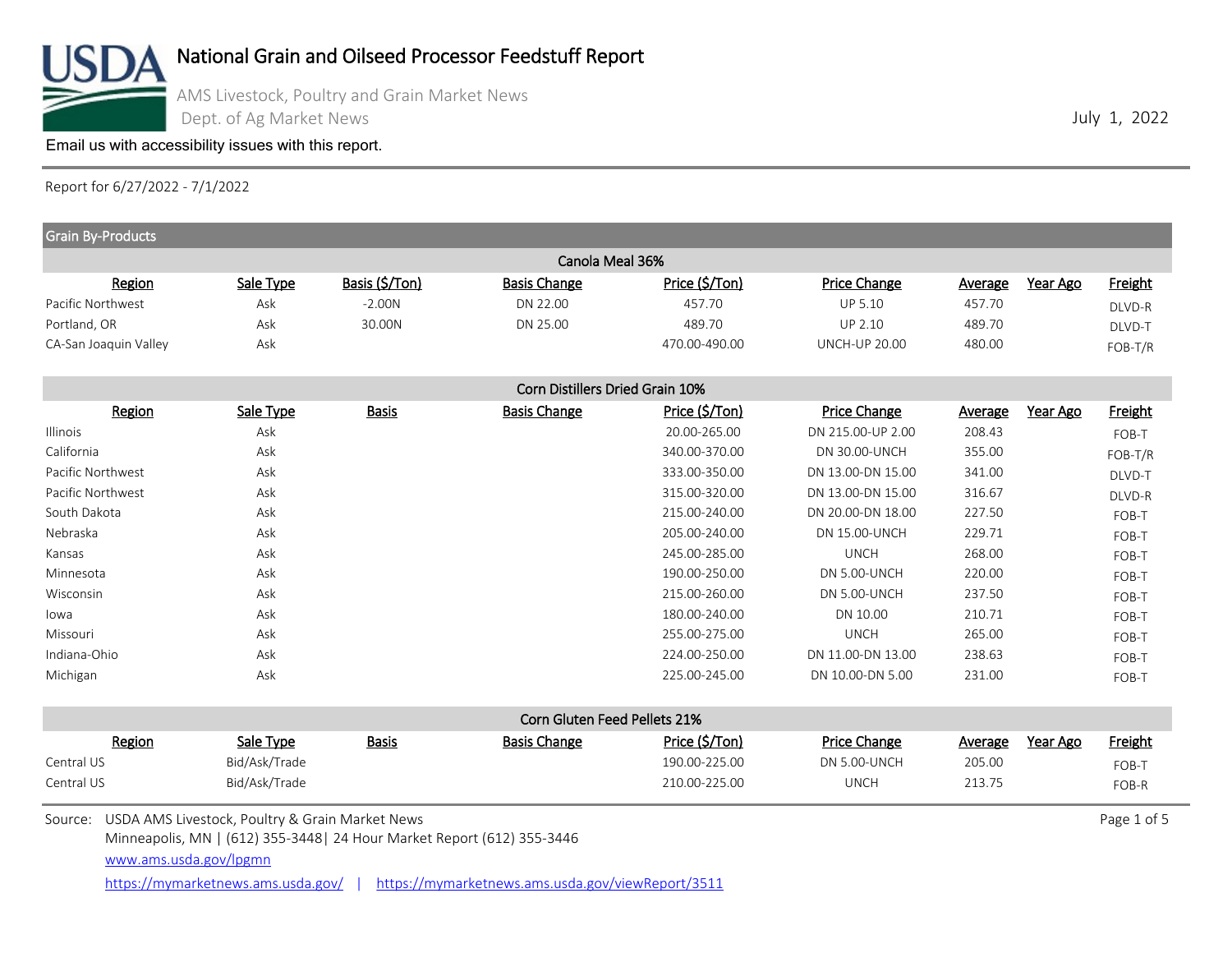

AMS Livestock, Poultry and Grain Market News Dept. of Ag Market News

[Email us with accessibility issues with this report.](mailto:mars@ams.usda.gov?subjectNot%20able%20to%20access%20video%20auction%20report)

Report for 6/27/2022 - 7/1/2022

| <b>Grain By-Products</b>                                |               |                |                                 |                |                      |                |          |                |
|---------------------------------------------------------|---------------|----------------|---------------------------------|----------------|----------------------|----------------|----------|----------------|
|                                                         |               |                | Canola Meal 36%                 |                |                      |                |          |                |
| Region                                                  | Sale Type     | Basis (\$/Ton) | <b>Basis Change</b>             | Price (\$/Ton) | Price Change         | <b>Average</b> | Year Ago | <b>Freight</b> |
| Pacific Northwest                                       | Ask           | $-2.00N$       | DN 22.00                        | 457.70         | <b>UP 5.10</b>       | 457.70         |          | DLVD-R         |
| Portland, OR                                            | Ask           | 30.00N         | DN 25.00                        | 489.70         | <b>UP 2.10</b>       | 489.70         |          | DLVD-T         |
| CA-San Joaquin Valley                                   | Ask           |                |                                 | 470.00-490.00  | <b>UNCH-UP 20.00</b> | 480.00         |          | FOB-T/R        |
|                                                         |               |                | Corn Distillers Dried Grain 10% |                |                      |                |          |                |
| Region                                                  | Sale Type     | <b>Basis</b>   | <b>Basis Change</b>             | Price (\$/Ton) | <b>Price Change</b>  | Average        | Year Ago | <b>Freight</b> |
| <b>Illinois</b>                                         | Ask           |                |                                 | 20.00-265.00   | DN 215.00-UP 2.00    | 208.43         |          | FOB-T          |
| California                                              | Ask           |                |                                 | 340.00-370.00  | DN 30.00-UNCH        | 355.00         |          | FOB-T/R        |
| Pacific Northwest                                       | Ask           |                |                                 | 333.00-350.00  | DN 13.00-DN 15.00    | 341.00         |          | DLVD-T         |
| Pacific Northwest                                       | Ask           |                |                                 | 315.00-320.00  | DN 13.00-DN 15.00    | 316.67         |          | DLVD-R         |
| South Dakota                                            | Ask           |                |                                 | 215.00-240.00  | DN 20.00-DN 18.00    | 227.50         |          | FOB-T          |
| Nebraska                                                | Ask           |                |                                 | 205.00-240.00  | DN 15.00-UNCH        | 229.71         |          | FOB-T          |
| Kansas                                                  | Ask           |                |                                 | 245.00-285.00  | <b>UNCH</b>          | 268.00         |          | FOB-T          |
| Minnesota                                               | Ask           |                |                                 | 190.00-250.00  | <b>DN 5.00-UNCH</b>  | 220.00         |          | FOB-T          |
| Wisconsin                                               | Ask           |                |                                 | 215.00-260.00  | DN 5.00-UNCH         | 237.50         |          | FOB-T          |
| lowa                                                    | Ask           |                |                                 | 180.00-240.00  | DN 10.00             | 210.71         |          | FOB-T          |
| Missouri                                                | Ask           |                |                                 | 255.00-275.00  | <b>UNCH</b>          | 265.00         |          | FOB-T          |
| Indiana-Ohio                                            | Ask           |                |                                 | 224.00-250.00  | DN 11.00-DN 13.00    | 238.63         |          | FOB-T          |
| Michigan                                                | Ask           |                |                                 | 225.00-245.00  | DN 10.00-DN 5.00     | 231.00         |          | FOB-T          |
|                                                         |               |                | Corn Gluten Feed Pellets 21%    |                |                      |                |          |                |
| Region                                                  | Sale Type     | <b>Basis</b>   | <b>Basis Change</b>             | Price (\$/Ton) | Price Change         | <b>Average</b> | Year Ago | <b>Freight</b> |
| Central US                                              | Bid/Ask/Trade |                |                                 | 190.00-225.00  | DN 5.00-UNCH         | 205.00         |          | FOB-T          |
| Central US                                              | Bid/Ask/Trade |                |                                 | 210.00-225.00  | <b>UNCH</b>          | 213.75         |          | FOB-R          |
| Source: USDA AMS Livestock, Poultry & Grain Market News |               |                |                                 |                |                      |                |          | Page 1 of 5    |

Minneapolis, MN | (612) 355-3448| 24 Hour Market Report (612) 355-3446

[www.ams.usda.gov/lpgmn](https://mymarketnews.ams.usda.gov/)

<https://mymarketnews.ams.usda.gov/> | <https://mymarketnews.ams.usda.gov/viewReport/3511>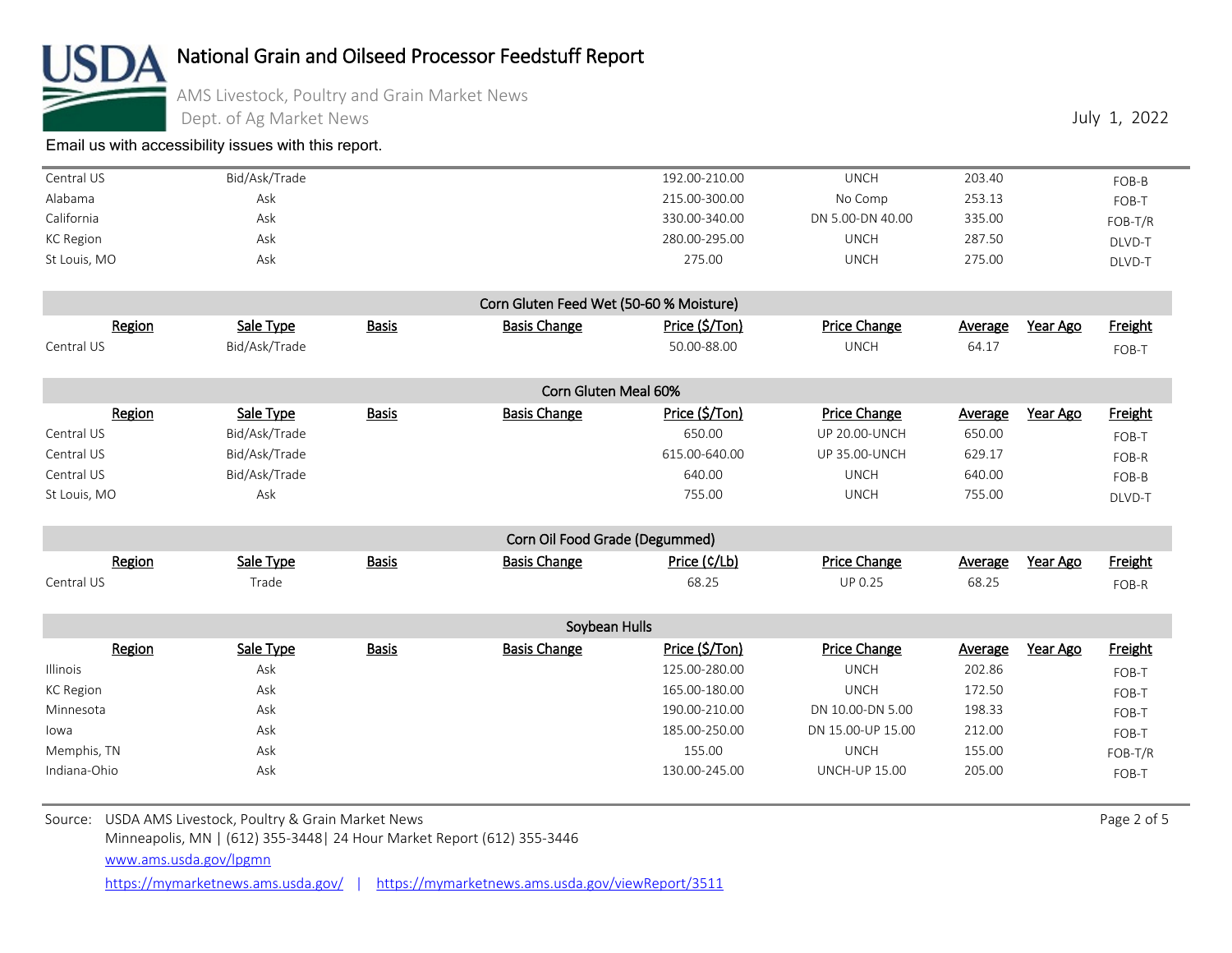

### AMS Livestock, Poultry and Grain Market News

Dept. of Ag Market News

[Email us with accessibility issues with this report.](mailto:mars@ams.usda.gov?subjectNot%20able%20to%20access%20video%20auction%20report)

| Central US   | Bid/Ask/Trade | 192.00-210.00 | UNCH             | 203.40 | FOB-B     |
|--------------|---------------|---------------|------------------|--------|-----------|
| Alabama      | Ask           | 215.00-300.00 | No Comp          | 253.13 | FOB-T     |
| California   | Ask           | 330.00-340.00 | DN 5.00-DN 40.00 | 335.00 | $FOB-T/R$ |
| KC Region    | Ask           | 280.00-295.00 | UNCH             | 287.50 | DLVD-T    |
| St Louis, MO | Ask           | 275.00        | UNCH             | 275.00 | DLVD-T    |

|            |               |              | Corn Gluten Feed Wet (50-60 % Moisture) |                |                     |                     |                |
|------------|---------------|--------------|-----------------------------------------|----------------|---------------------|---------------------|----------------|
| Region     | Sale Type     | <b>Basis</b> | <b>Basis Change</b>                     | Price (\$/Ton) | <b>Price Change</b> | Year Ago<br>Average | <b>Freight</b> |
| Central US | Bid/Ask/Trade |              |                                         | 50.00-88.00    | UNCH                | 64.1                | $FOB-T$        |

|              |               |              | Corn Gluten Meal 60% |                |                      |                     |                |
|--------------|---------------|--------------|----------------------|----------------|----------------------|---------------------|----------------|
| Region       | Sale Type     | <b>Basis</b> | <b>Basis Change</b>  | Price (\$/Ton) | Price Change         | Year Ago<br>Average | <b>Freight</b> |
| Central US   | Bid/Ask/Trade |              |                      | 650.00         | <b>UP 20.00-UNCH</b> | 650.00              | FOB-T          |
| Central US   | Bid/Ask/Trade |              |                      | 615.00-640.00  | <b>UP 35.00-UNCH</b> | 629.17              | FOB-R          |
| Central US   | Bid/Ask/Trade |              |                      | 640.00         | UNCH                 | 640.00              | FOB-B          |
| St Louis, MO | Ask           |              |                      | 755.00         | UNCH                 | 755.00              | DLVD-T         |

|            |                  |              | Corn Oil Food Grade (Degummed) |              |                     |                     |         |
|------------|------------------|--------------|--------------------------------|--------------|---------------------|---------------------|---------|
| Region     | <u>Sale Type</u> | <b>Basis</b> | <b>Basis Change</b>            | Price (¢/Lb) | <b>Price Change</b> | Year Ago<br>Average | Freight |
| Central US | $T$ rade         |              |                                | 68.25        | UP 0.25             | 68.25               | FOB-R   |

|                 |           |              | Soybean Hulls       |                |                      |         |          |           |
|-----------------|-----------|--------------|---------------------|----------------|----------------------|---------|----------|-----------|
| Region          | Sale Type | <b>Basis</b> | <b>Basis Change</b> | Price (\$/Ton) | <b>Price Change</b>  | Average | Year Ago | Freight   |
| <b>Illinois</b> | Ask       |              |                     | 125.00-280.00  | <b>UNCH</b>          | 202.86  |          | FOB-T     |
| KC Region       | Ask       |              |                     | 165.00-180.00  | <b>UNCH</b>          | 172.50  |          | FOB-T     |
| Minnesota       | Ask       |              |                     | 190.00-210.00  | DN 10.00-DN 5.00     | 198.33  |          | FOB-T     |
| lowa            | Ask       |              |                     | 185.00-250.00  | DN 15.00-UP 15.00    | 212.00  |          | FOB-T     |
| Memphis, TN     | Ask       |              |                     | 155.00         | UNCH                 | 155.00  |          | $FOB-T/R$ |
| Indiana-Ohio    | Ask       |              |                     | 130.00-245.00  | <b>UNCH-UP 15.00</b> | 205.00  |          | FOB-T     |

Source: USDA AMS Livestock, Poultry & Grain Market News **Page 2 of 5** Source: USDA AMS Livestock, Poultry & Grain Market News

Minneapolis, MN | (612) 355-3448| 24 Hour Market Report (612) 355-3446

[www.ams.usda.gov/lpgmn](https://mymarketnews.ams.usda.gov/)

<https://mymarketnews.ams.usda.gov/> | <https://mymarketnews.ams.usda.gov/viewReport/3511>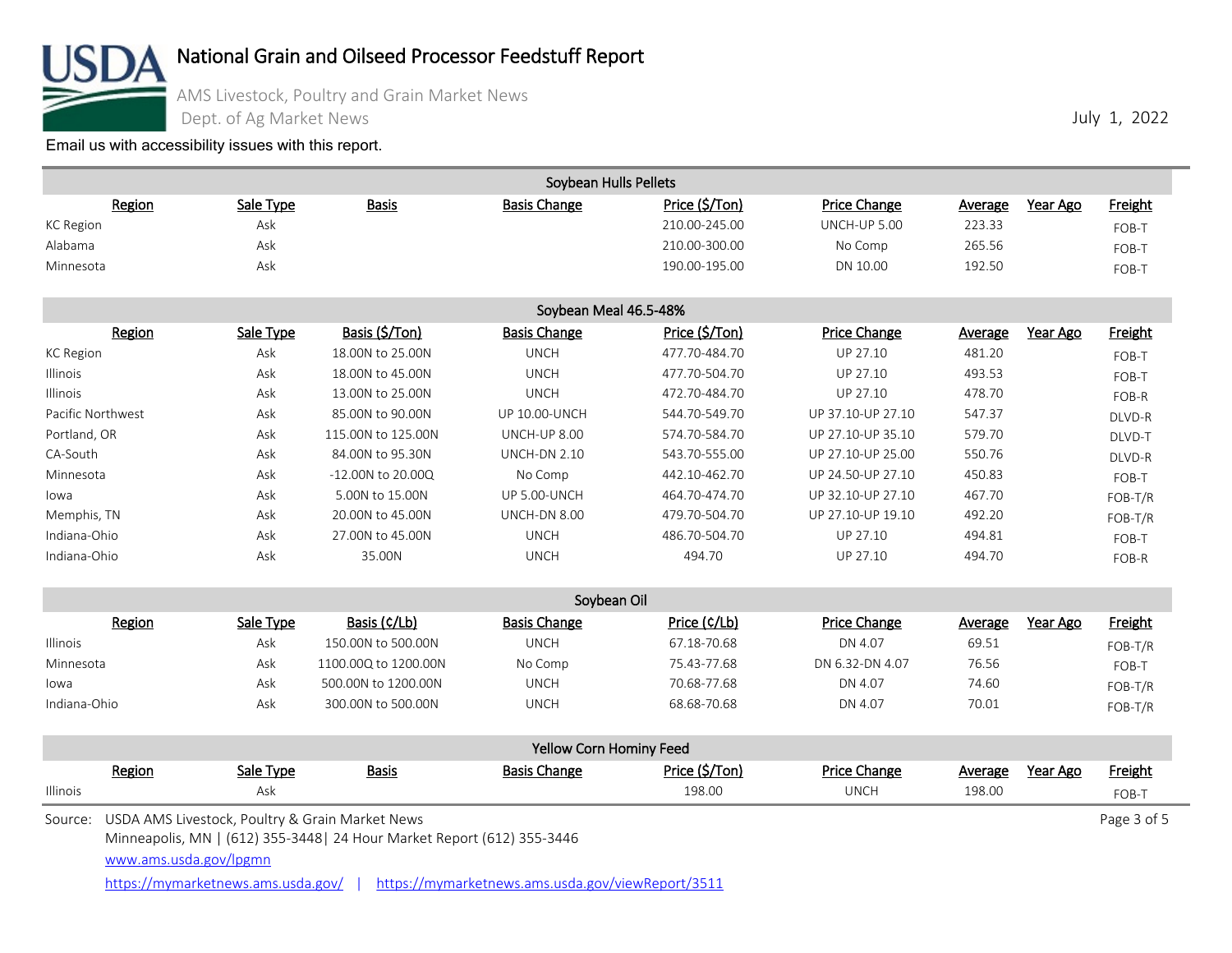

### AMS Livestock, Poultry and Grain Market News

Dept. of Ag Market News

[Email us with accessibility issues with this report.](mailto:mars@ams.usda.gov?subjectNot%20able%20to%20access%20video%20auction%20report)

|                        |           |                                                                                        | Soybean Hulls Pellets   |                |                     |         |          |                |
|------------------------|-----------|----------------------------------------------------------------------------------------|-------------------------|----------------|---------------------|---------|----------|----------------|
| Region                 | Sale Type | <b>Basis</b>                                                                           | <b>Basis Change</b>     | Price (\$/Ton) | <b>Price Change</b> | Average | Year Ago | <b>Freight</b> |
| <b>KC</b> Region       | Ask       |                                                                                        |                         | 210.00-245.00  | <b>UNCH-UP 5.00</b> | 223.33  |          | FOB-T          |
| Alabama                | Ask       |                                                                                        |                         | 210.00-300.00  | No Comp             | 265.56  |          | FOB-T          |
| Minnesota              | Ask       |                                                                                        |                         | 190.00-195.00  | DN 10.00            | 192.50  |          | FOB-T          |
|                        |           |                                                                                        | Soybean Meal 46.5-48%   |                |                     |         |          |                |
| Region                 | Sale Type | Basis (\$/Ton)                                                                         | <b>Basis Change</b>     | Price (\$/Ton) | Price Change        | Average | Year Ago | <b>Freight</b> |
| <b>KC</b> Region       | Ask       | 18.00N to 25.00N                                                                       | <b>UNCH</b>             | 477.70-484.70  | UP 27.10            | 481.20  |          | FOB-T          |
| Illinois               | Ask       | 18.00N to 45.00N                                                                       | <b>UNCH</b>             | 477.70-504.70  | UP 27.10            | 493.53  |          | FOB-T          |
| Illinois               | Ask       | 13.00N to 25.00N                                                                       | <b>UNCH</b>             | 472.70-484.70  | UP 27.10            | 478.70  |          | FOB-R          |
| Pacific Northwest      | Ask       | 85.00N to 90.00N                                                                       | <b>UP 10.00-UNCH</b>    | 544.70-549.70  | UP 37.10-UP 27.10   | 547.37  |          | DLVD-R         |
| Portland, OR           | Ask       | 115.00N to 125.00N                                                                     | <b>UNCH-UP 8.00</b>     | 574.70-584.70  | UP 27.10-UP 35.10   | 579.70  |          | DLVD-T         |
| CA-South               | Ask       | 84,00N to 95,30N                                                                       | <b>UNCH-DN 2.10</b>     | 543.70-555.00  | UP 27.10-UP 25.00   | 550.76  |          | DLVD-R         |
| Minnesota              | Ask       | $-12.00N$ to $20.00Q$                                                                  | No Comp                 | 442.10-462.70  | UP 24.50-UP 27.10   | 450.83  |          | FOB-T          |
| lowa                   | Ask       | 5.00N to 15.00N                                                                        | <b>UP 5.00-UNCH</b>     | 464.70-474.70  | UP 32.10-UP 27.10   | 467.70  |          | FOB-T/R        |
| Memphis, TN            | Ask       | 20.00N to 45.00N                                                                       | UNCH-DN 8.00            | 479.70-504.70  | UP 27.10-UP 19.10   | 492.20  |          | FOB-T/R        |
| Indiana-Ohio           | Ask       | 27.00N to 45.00N                                                                       | <b>UNCH</b>             | 486.70-504.70  | UP 27.10            | 494.81  |          | FOB-T          |
| Indiana-Ohio           | Ask       | 35.00N                                                                                 | <b>UNCH</b>             | 494.70         | UP 27.10            | 494.70  |          | FOB-R          |
|                        |           |                                                                                        | Soybean Oil             |                |                     |         |          |                |
| Region                 | Sale Type | Basis (¢/Lb)                                                                           | <b>Basis Change</b>     | Price (¢/Lb)   | Price Change        | Average | Year Ago | <b>Freight</b> |
| Illinois               | Ask       | 150.00N to 500.00N                                                                     | <b>UNCH</b>             | 67.18-70.68    | DN 4.07             | 69.51   |          | FOB-T/R        |
| Minnesota              | Ask       | 1100.00Q to 1200.00N                                                                   | No Comp                 | 75.43-77.68    | DN 6.32-DN 4.07     | 76.56   |          | FOB-T          |
| lowa                   | Ask       | 500.00N to 1200.00N                                                                    | <b>UNCH</b>             | 70.68-77.68    | DN 4.07             | 74.60   |          | FOB-T/R        |
| Indiana-Ohio           | Ask       | 300,00N to 500,00N                                                                     | <b>UNCH</b>             | 68.68-70.68    | DN 4.07             | 70.01   |          | FOB-T/R        |
|                        |           |                                                                                        | Yellow Corn Hominy Feed |                |                     |         |          |                |
| Region                 | Sale Type | <b>Basis</b>                                                                           | <b>Basis Change</b>     | Price (\$/Ton) | <b>Price Change</b> | Average | Year Ago | <b>Freight</b> |
| Illinois               | Ask       |                                                                                        |                         | 198.00         | <b>UNCH</b>         | 198.00  |          | FOB-T          |
| Source:                |           | USDA AMS Livestock, Poultry & Grain Market News                                        |                         |                |                     |         |          | Page 3 of 5    |
|                        |           | Minneapolis, MN   (612) 355-3448   24 Hour Market Report (612) 355-3446                |                         |                |                     |         |          |                |
| www.ams.usda.gov/lpgmn |           |                                                                                        |                         |                |                     |         |          |                |
|                        |           | https://mymarketnews.ams.usda.gov/   https://mymarketnews.ams.usda.gov/viewReport/3511 |                         |                |                     |         |          |                |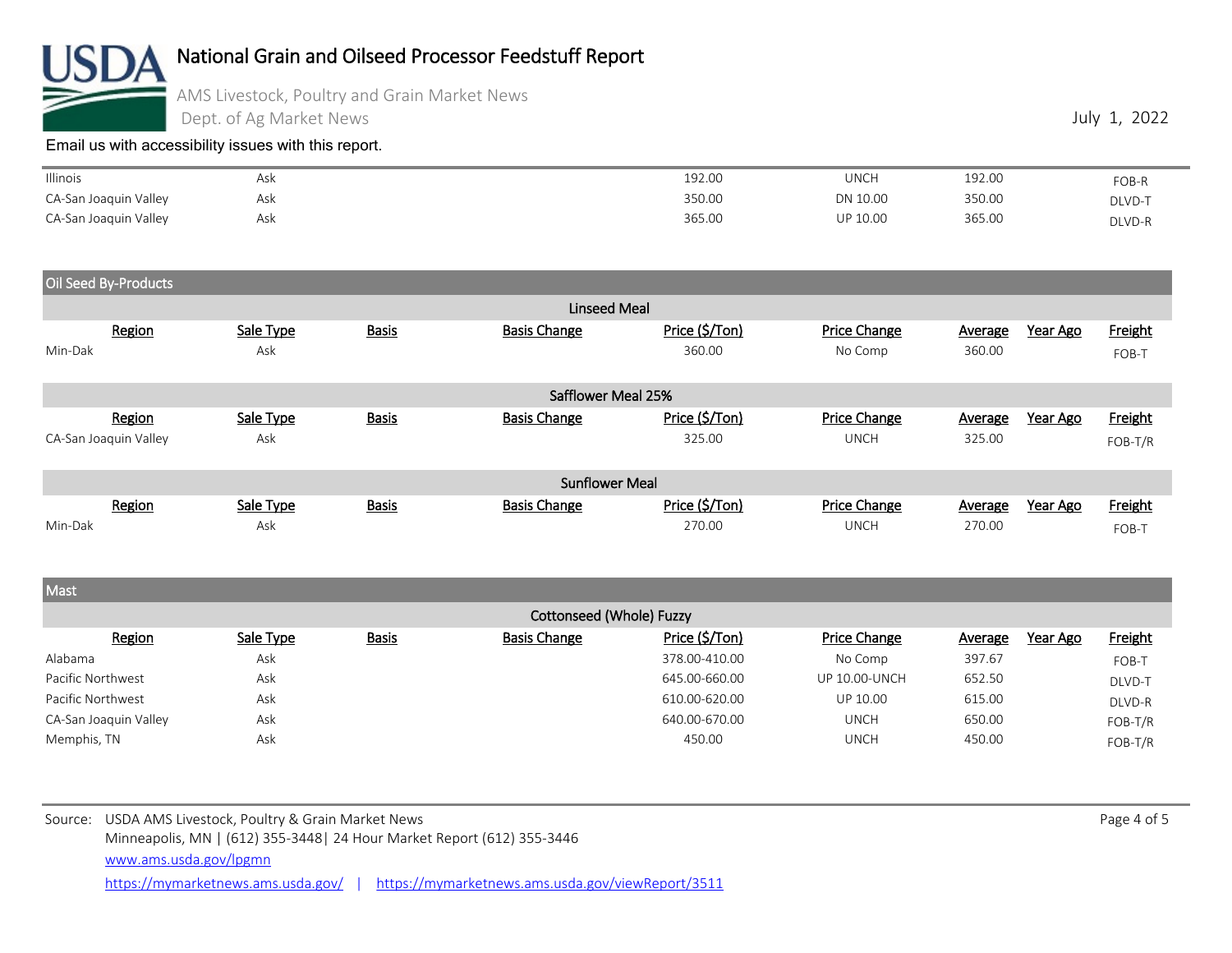

AMS Livestock, Poultry and Grain Market News

Dept. of Ag Market News

[Email us with accessibility issues with this report.](mailto:mars@ams.usda.gov?subjectNot%20able%20to%20access%20video%20auction%20report)

| Illinois              | Ask | 192.00 | UNCH     | 192.00 | FOB-R  |
|-----------------------|-----|--------|----------|--------|--------|
| CA-San Joaquin Valley | Ask | 350.00 | DN 10.00 | 350.00 | DLVD-T |
| CA-San Joaquin Valley | Ask | 365.00 | UP 10.00 | 365.00 | DLVD-R |

Oil Seed By-Products

|                       |        |           |              | Linseed Meal          |                |                     |         |                 |         |
|-----------------------|--------|-----------|--------------|-----------------------|----------------|---------------------|---------|-----------------|---------|
|                       | Region | Sale Type | <b>Basis</b> | <b>Basis Change</b>   | Price (\$/Ton) | Price Change        | Average | Year Ago        | Freight |
| Min-Dak               |        | Ask       |              |                       | 360.00         | No Comp             | 360.00  |                 | FOB-T   |
|                       |        |           |              |                       |                |                     |         |                 |         |
|                       |        |           |              | Safflower Meal 25%    |                |                     |         |                 |         |
|                       | Region | Sale Type | <b>Basis</b> | <b>Basis Change</b>   | Price (\$/Ton) | Price Change        | Average | <u>Year Ago</u> | Freight |
| CA-San Joaquin Valley |        | Ask       |              |                       | 325.00         | <b>UNCH</b>         | 325.00  |                 | FOB-T/R |
|                       |        |           |              |                       |                |                     |         |                 |         |
|                       |        |           |              | <b>Sunflower Meal</b> |                |                     |         |                 |         |
|                       | Region | Sale Type | <b>Basis</b> | <b>Basis Change</b>   | Price (\$/Ton) | <b>Price Change</b> | Average | Year Ago        | Freight |
| Min-Dak               |        | Ask       |              |                       | 270.00         | <b>UNCH</b>         | 270.00  |                 | FOB-T   |

**Mast**  Cottonseed (Whole) Fuzzy <u>Region</u> Sale Type Basis Basis Basis Change Price (\$/Ton) Price Change Average Year Ago Freight Average Year Ago Alabama Ask 378.00-410.00 No Comp 397.67 FOB-T Pacific Northwest **Ask Ask 2000-000** 645.00-660.00 UP 10.00-UNCH 652.50 DLVD-T Pacific Northwest **Ask** Ask **610.00-620.00** UP 10.00 615.00 615.00 **615.00** DLVD-R CA-San Joaquin Valley Ask 640.00-670.00 UNCH 650.00 FOB-T/R Memphis, TN Ask 450.00 UNCH 450.00 FOB-T/R